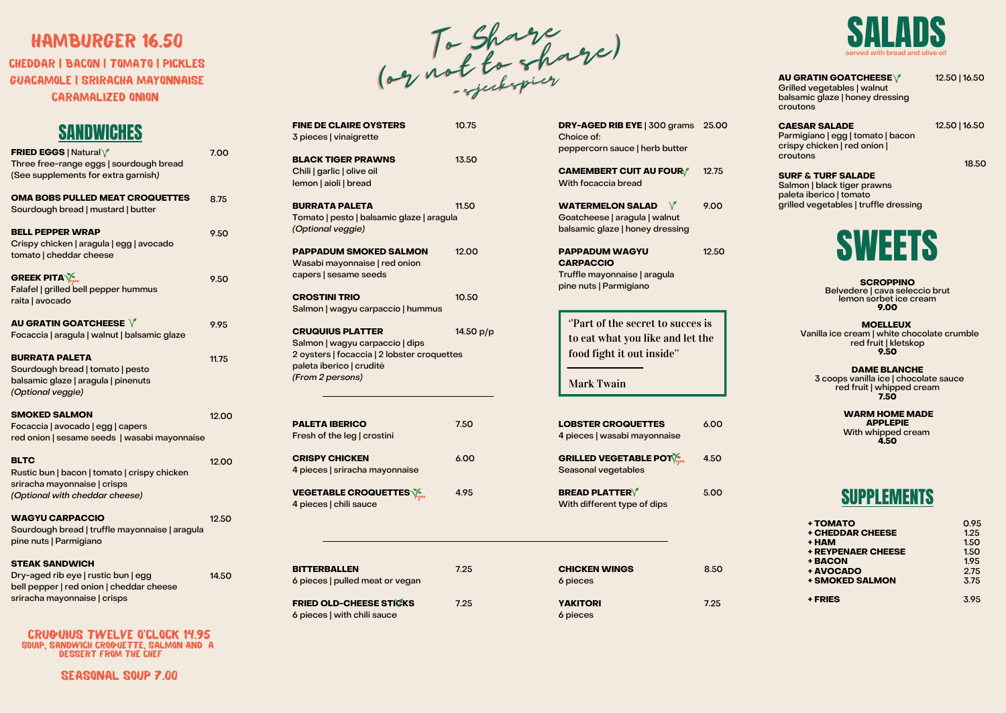#### **AU GRATIN GOATCHEESE**

Grilled vegetables | walnut balsamic glaze | honey dressing croutons

**CAESAR SALADE** Parmigiano | egg | tomato | bacon crispy chicken | red onion | croutons

#### **SURF & TURF SALADE** Salmon | black tiger prawns paleta iberico | tomato grilled vegetables | truffle dressing

**CHEDDAR | BACON | TOMATO | PICKLES** GUACaMOLE | sriracha MAYONnAISE caramalized onion

To Share (or not to share) (or not to share) (or not to share) - sjeekspier - sjeekspier- sjeekspier

| <b>FRIED EGGS   Natural \/</b>                 | 7.00  |
|------------------------------------------------|-------|
| Three free-range eggs   sourdough bread        |       |
| (See supplements for extra garnish)            |       |
| <b>OMA BOBS PULLED MEAT CROQUETTES</b>         | 8.75  |
| Sourdough bread   mustard   butter             |       |
| <b>BELL PEPPER WRAP</b>                        | 9.50  |
| Crispy chicken   aragula   egg   avocado       |       |
| tomato   cheddar cheese                        |       |
| <b>GREEK PITA</b>                              | 9.50  |
| Falafel   grilled bell pepper hummus           |       |
| raita   avocado                                |       |
| AU GRATIN GOATCHEESE V                         | 9.95  |
| Focaccia   aragula   walnut   balsamic glaze   |       |
| <b>BURRATA PALETA</b>                          | 11.75 |
| Sourdough bread   tomato   pesto               |       |
| balsamic glaze   aragula   pinenuts            |       |
| (Optional veggie)                              |       |
| <b>SMOKED SALMON</b>                           | 12.00 |
| Focaccia   avocado   egg   capers              |       |
| red onion   sesame seeds   wasabi mayonnaise   |       |
| <b>BLTC</b>                                    | 12.00 |
| Rustic bun   bacon   tomato   crispy chicken   |       |
| sriracha mayonnaise   crisps                   |       |
| (Optional with cheddar cheese)                 |       |
| <b>WAGYU CARPACCIO</b>                         | 12.50 |
| Sourdough bread   truffle mayonnaise   aragula |       |
| pine nuts   Parmigiano                         |       |
| <b>STEAK SANDWICH</b>                          |       |
| Dry-aged rib eye   rustic bun   egg            | 14.50 |
| bell pepper   red onion   cheddar cheese       |       |
| sriracha mayonnaise   crisps                   |       |
|                                                |       |

Choice of:

peppercorn sauce | herb butter

**CAMEMBERT CUIT AU FOUR**

6 pieces

12.50 | 16.50

12.50 | 16.50

18.50

#### **SCROPPINO**

Belvedere | cava seleccio brut lemon sorbet ice cream **9.00**

**MOELLEUX**

Vanilla ice cream | white chocolate crumble red fruit | kletskop **9.50**

#### HAMBURGER 16.50

| <b>FINE DE CLAIRE OYSTERS</b><br>3 pieces   vinaigrette                                                                                                   | 10.75     |
|-----------------------------------------------------------------------------------------------------------------------------------------------------------|-----------|
| <b>BLACK TIGER PRAWNS</b><br>Chili   garlic   olive oil<br>lemon   aioli   bread                                                                          | 13.50     |
| <b>BURRATA PALETA</b><br>Tomato   pesto   balsamic glaze   aragula<br>(Optional veggie)                                                                   | 11.50     |
| <b>PAPPADUM SMOKED SALMON</b><br>Wasabi mayonnaise   red onion<br>capers   sesame seeds                                                                   | 12.00     |
| <b>CROSTINI TRIO</b><br>Salmon   wagyu carpaccio   hummus                                                                                                 | 10.50     |
| <b>CRUQUIUS PLATTER</b><br>Salmon   wagyu carpaccio   dips<br>2 oysters   focaccia   2 lobster croquettes<br>paleta iberico   crudité<br>(From 2 persons) | 14.50 p/p |
| <b>PALETA IBERICO</b><br>Fresh of the leg   crostini                                                                                                      | 7.50      |
| <b>CRISPY CHICKEN</b><br>4 pieces   sriracha mayonnaise                                                                                                   | 6.00      |
| <b>VEGETABLE CROQUETTES \&amp;\</b><br>4 pieces   chili sauce                                                                                             | 4.95      |
|                                                                                                                                                           |           |

**DRY-AGED RIB EYE** | 300 grams 25.00

| + TOMATO                  | 0.95 |
|---------------------------|------|
| <b>+ CHEDDAR CHEESE</b>   | 1.25 |
| + HAM                     | 1.50 |
| <b>+ REYPENAER CHEESE</b> | 1.50 |
| + BACON                   | 1.95 |
| + AVOCADO                 | 2.75 |
| <b>+ SMOKED SALMON</b>    | 3.75 |
|                           |      |
| + FRIES                   | 3.95 |



| <b>CAMEMBERT CUIT AU FOUR/</b><br>With focaccia bread                                               | 12.75 |
|-----------------------------------------------------------------------------------------------------|-------|
| <b>WATERMELON SALAD</b><br>Goatcheese   aragula   walnut<br>balsamic glaze   honey dressing         | 9.00  |
| <b>PAPPADUM WAGYU</b><br><b>CARPACCIO</b><br>Truffle mayonnaise   aragula<br>pine nuts   Parmigiano | 12.50 |
| "Part of the secret to succes is<br>to eat what you like and let the<br>food fight it out inside"   |       |
| <b>Mark Twain</b>                                                                                   |       |
| <b>LOBSTER CROQUETTES</b><br>4 pieces   wasabi mayonnaise                                           | 6.00  |
| <b>GRILLED VEGETABLE POT SEA</b><br>Seasonal vegetables                                             | 4.50  |
| <b>BREAD PLATTER</b><br>With different type of dips                                                 | 5.00  |
|                                                                                                     |       |
| <b>CHICKEN WINGS</b><br>6 pieces                                                                    | 8.50  |

cruquius twelve o'clock 14.95 souip, sandwich croquette, salmon and a dessert from the chef

| <b>BITTERBALLEN</b>                                    | 7.25 |  |
|--------------------------------------------------------|------|--|
| 6 pieces   pulled meat or vegan                        |      |  |
| FRIED OLD-CHEESE STICKS<br>6 pieces   with chili sauce | 7.25 |  |
|                                                        |      |  |
|                                                        |      |  |

#### SUPPLEMENTS

### SANDWICHES

**DAME BLANCHE** 3 coops vanilla ice | chocolate sauce red fruit | whipped cream **7.50**

> **WARM HOME MADE APPLEPIE** With whipped cream **4.50**